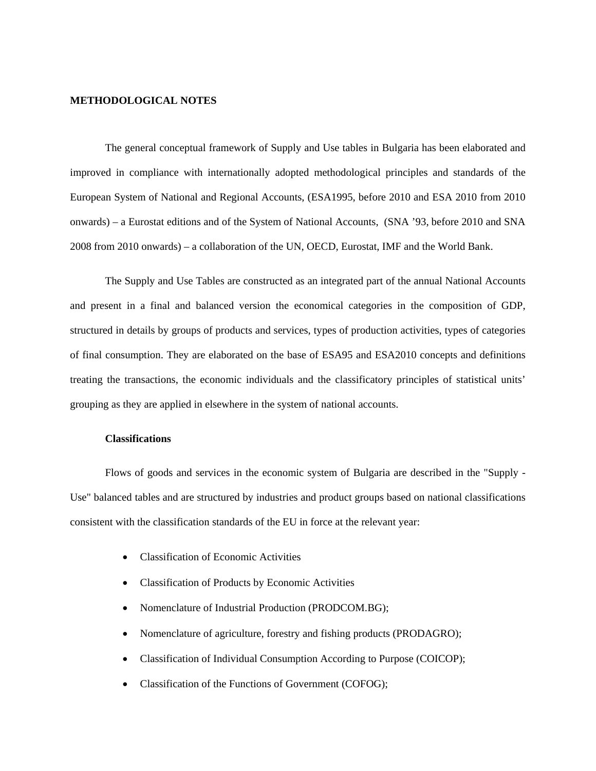#### **METHODOLOGICAL NOTES**

The general conceptual framework of Supply and Use tables in Bulgaria has been elaborated and improved in compliance with internationally adopted methodological principles and standards of the European System of National and Regional Accounts, (ESA1995, before 2010 and ESA 2010 from 2010 onwards) – a Eurostat editions and of the System of National Accounts, (SNA '93, before 2010 and SNA 2008 from 2010 onwards) – a collaboration of the UN, OECD, Eurostat, IMF and the World Bank.

The Supply and Use Tables are constructed as an integrated part of the annual National Accounts and present in a final and balanced version the economical categories in the composition of GDP, structured in details by groups of products and services, types of production activities, types of categories of final consumption. They are elaborated on the base of ESA95 and ESA2010 concepts and definitions treating the transactions, the economic individuals and the classificatory principles of statistical units' grouping as they are applied in elsewhere in the system of national accounts.

# **Classifications**

Flows of goods and services in the economic system of Bulgaria are described in the "Supply - Use" balanced tables and are structured by industries and product groups based on national classifications consistent with the classification standards of the EU in force at the relevant year:

- Classification of Economic Activities
- Classification of Products by Economic Activities
- Nomenclature of Industrial Production (PRODCOM.BG);
- Nomenclature of agriculture, forestry and fishing products (PRODAGRO);
- Classification of Individual Consumption According to Purpose (COICOP);
- Classification of the Functions of Government (COFOG);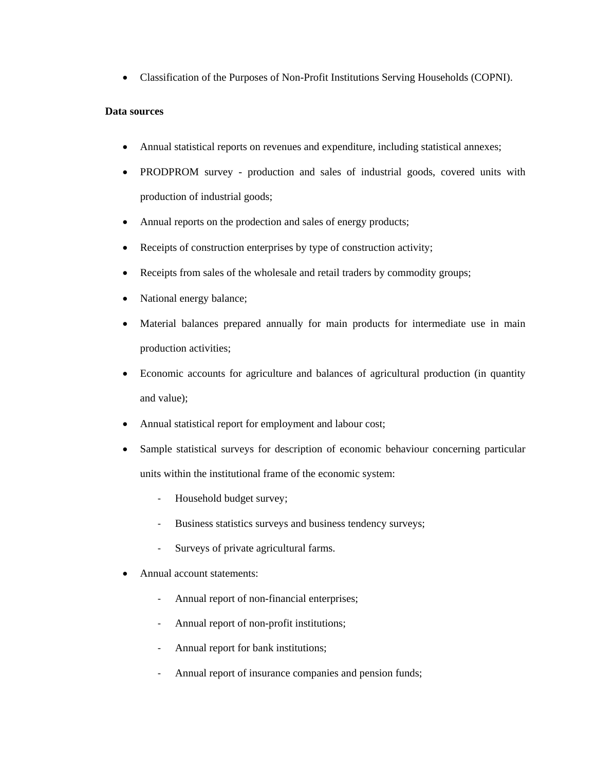• Classification of the Purposes of Non-Profit Institutions Serving Households (COPNI).

## **Data sources**

- Annual statistical reports on revenues and expenditure, including statistical annexes;
- PRODPROM survey production and sales of industrial goods, covered units with production of industrial goods;
- Annual reports on the prodection and sales of energy products;
- Receipts of construction enterprises by type of construction activity;
- Receipts from sales of the wholesale and retail traders by commodity groups;
- National energy balance;
- Material balances prepared annually for main products for intermediate use in main production activities;
- Economic accounts for agriculture and balances of agricultural production (in quantity and value);
- Annual statistical report for employment and labour cost;
- Sample statistical surveys for description of economic behaviour concerning particular units within the institutional frame of the economic system:
	- Household budget survey;
	- Business statistics surveys and business tendency surveys;
	- Surveys of private agricultural farms.
- Annual account statements:
	- Annual report of non-financial enterprises;
	- Annual report of non-profit institutions;
	- Annual report for bank institutions;
	- Annual report of insurance companies and pension funds;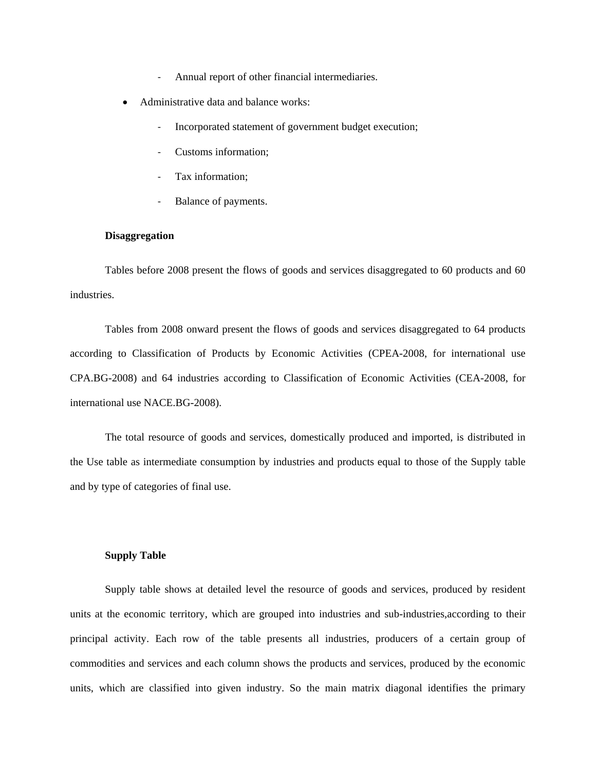- Annual report of other financial intermediaries.
- Administrative data and balance works:
	- Incorporated statement of government budget execution;
	- Customs information;
	- Tax information;
	- Balance of payments.

### **Disaggregation**

Tables before 2008 present the flows of goods and services disaggregated to 60 products and 60 industries.

Tables from 2008 onward present the flows of goods and services disaggregated to 64 products according to Classification of Products by Economic Activities (CPEA-2008, for international use CPA.BG-2008) and 64 industries according to Classification of Economic Activities (CEA-2008, for international use NACE.BG-2008).

The total resource of goods and services, domestically produced and imported, is distributed in the Use table as intermediate consumption by industries and products equal to those of the Supply table and by type of categories of final use.

#### **Supply Table**

Supply table shows at detailed level the resource of goods and services, produced by resident units at the economic territory, which are grouped into industries and sub-industries,according to their principal activity. Each row of the table presents all industries, producers of a certain group of commodities and services and each column shows the products and services, produced by the economic units, which are classified into given industry. So the main matrix diagonal identifies the primary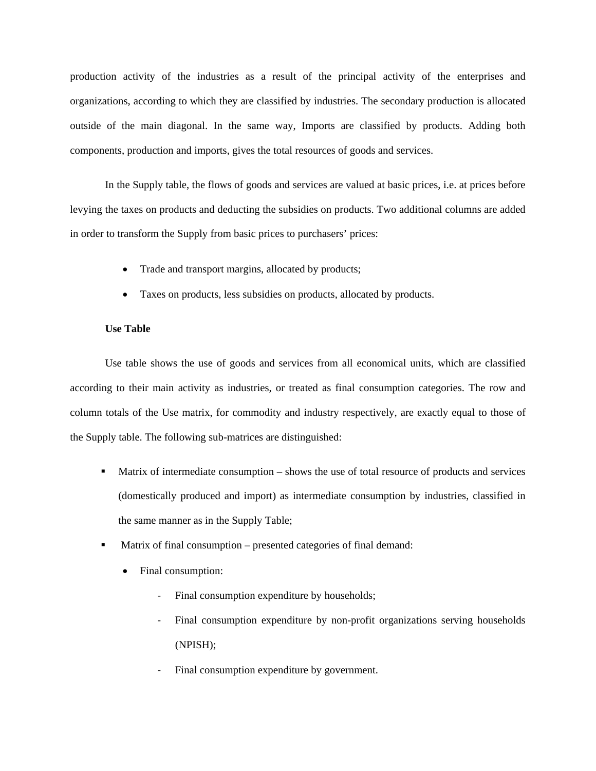production activity of the industries as a result of the principal activity of the enterprises and organizations, according to which they are classified by industries. The secondary production is allocated outside of the main diagonal. In the same way, Imports are classified by products. Adding both components, production and imports, gives the total resources of goods and services.

In the Supply table, the flows of goods and services are valued at basic prices, i.e. at prices before levying the taxes on products and deducting the subsidies on products. Two additional columns are added in order to transform the Supply from basic prices to purchasers' prices:

- Trade and transport margins, allocated by products;
- Taxes on products, less subsidies on products, allocated by products.

### **Use Table**

Use table shows the use of goods and services from all economical units, which are classified according to their main activity as industries, or treated as final consumption categories. The row and column totals of the Use matrix, for commodity and industry respectively, are exactly equal to those of the Supply table. The following sub-matrices are distinguished:

- **Matrix of intermediate consumption shows the use of total resource of products and services** (domestically produced and import) as intermediate consumption by industries, classified in the same manner as in the Supply Table;
- Matrix of final consumption presented categories of final demand:
	- Final consumption:
		- Final consumption expenditure by households;
		- Final consumption expenditure by non-profit organizations serving households (NPISH);
		- Final consumption expenditure by government.